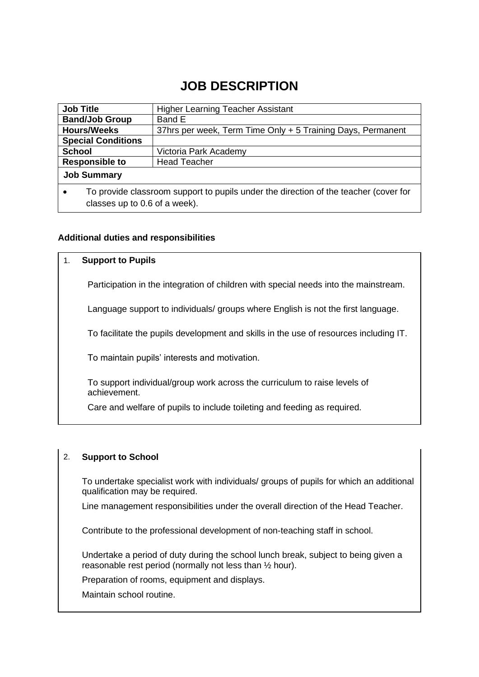## **JOB DESCRIPTION**

| <b>Job Title</b>                                                                                  | <b>Higher Learning Teacher Assistant</b>                    |  |
|---------------------------------------------------------------------------------------------------|-------------------------------------------------------------|--|
| <b>Band/Job Group</b>                                                                             | Band E                                                      |  |
| <b>Hours/Weeks</b>                                                                                | 37hrs per week, Term Time Only + 5 Training Days, Permanent |  |
| <b>Special Conditions</b>                                                                         |                                                             |  |
| <b>School</b>                                                                                     | Victoria Park Academy                                       |  |
| <b>Responsible to</b>                                                                             | <b>Head Teacher</b>                                         |  |
| <b>Job Summary</b>                                                                                |                                                             |  |
| To provide classroom support to pupils under the direction of the teacher (cover for<br>$\bullet$ |                                                             |  |
| classes up to 0.6 of a week).                                                                     |                                                             |  |

### **Additional duties and responsibilities**

#### 1. **Support to Pupils**

Participation in the integration of children with special needs into the mainstream.

Language support to individuals/ groups where English is not the first language.

To facilitate the pupils development and skills in the use of resources including IT.

To maintain pupils' interests and motivation.

To support individual/group work across the curriculum to raise levels of achievement.

Care and welfare of pupils to include toileting and feeding as required.

### 2. **Support to School**

To undertake specialist work with individuals/ groups of pupils for which an additional qualification may be required.

Line management responsibilities under the overall direction of the Head Teacher.

Contribute to the professional development of non-teaching staff in school.

Undertake a period of duty during the school lunch break, subject to being given a reasonable rest period (normally not less than ½ hour).

Preparation of rooms, equipment and displays.

Maintain school routine.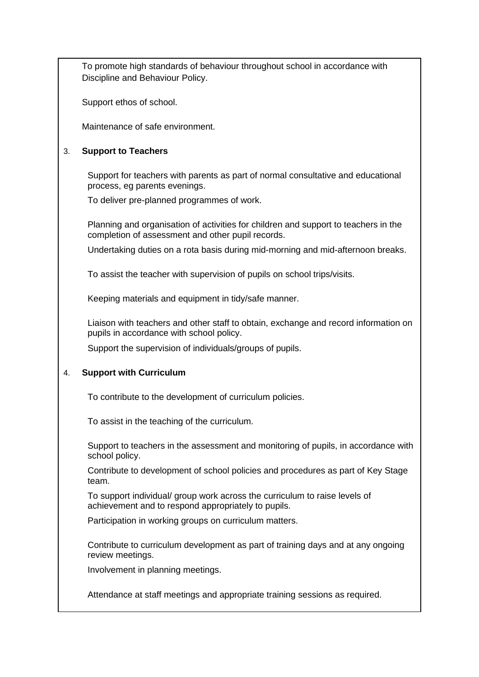To promote high standards of behaviour throughout school in accordance with Discipline and Behaviour Policy.

Support ethos of school.

Maintenance of safe environment.

### 3. **Support to Teachers**

Support for teachers with parents as part of normal consultative and educational process, eg parents evenings.

To deliver pre-planned programmes of work.

Planning and organisation of activities for children and support to teachers in the completion of assessment and other pupil records.

Undertaking duties on a rota basis during mid-morning and mid-afternoon breaks.

To assist the teacher with supervision of pupils on school trips/visits.

Keeping materials and equipment in tidy/safe manner.

Liaison with teachers and other staff to obtain, exchange and record information on pupils in accordance with school policy.

Support the supervision of individuals/groups of pupils.

### 4. **Support with Curriculum**

To contribute to the development of curriculum policies.

To assist in the teaching of the curriculum.

Support to teachers in the assessment and monitoring of pupils, in accordance with school policy.

Contribute to development of school policies and procedures as part of Key Stage team.

To support individual/ group work across the curriculum to raise levels of achievement and to respond appropriately to pupils.

Participation in working groups on curriculum matters.

Contribute to curriculum development as part of training days and at any ongoing review meetings.

Involvement in planning meetings.

Attendance at staff meetings and appropriate training sessions as required.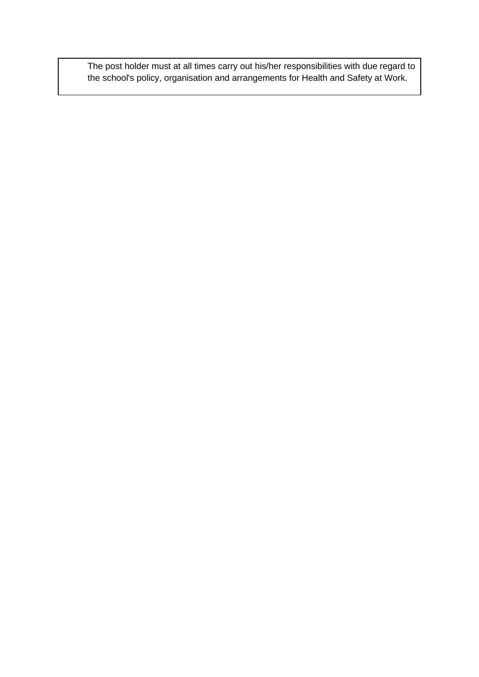The post holder must at all times carry out his/her responsibilities with due regard to the school's policy, organisation and arrangements for Health and Safety at Work.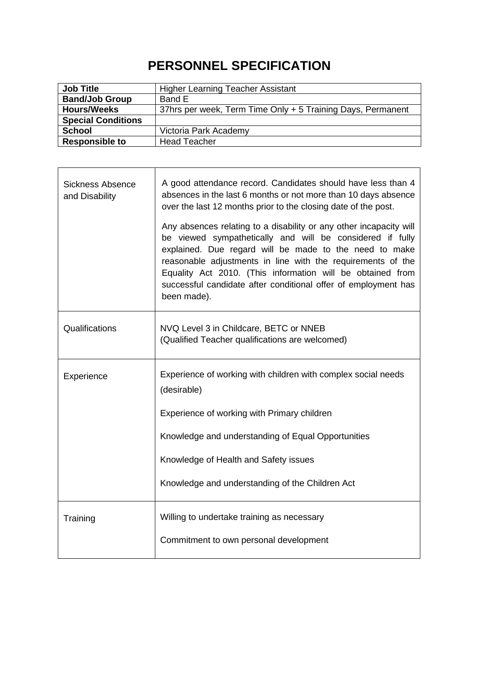# **PERSONNEL SPECIFICATION**

| <b>Job Title</b>          | Higher Learning Teacher Assistant                           |
|---------------------------|-------------------------------------------------------------|
| <b>Band/Job Group</b>     | Band E                                                      |
| <b>Hours/Weeks</b>        | 37hrs per week, Term Time Only + 5 Training Days, Permanent |
| <b>Special Conditions</b> |                                                             |
| <b>School</b>             | Victoria Park Academy                                       |
| <b>Responsible to</b>     | <b>Head Teacher</b>                                         |

 $\overline{\phantom{0}}$ 

| <b>Sickness Absence</b><br>and Disability | A good attendance record. Candidates should have less than 4<br>absences in the last 6 months or not more than 10 days absence<br>over the last 12 months prior to the closing date of the post.<br>Any absences relating to a disability or any other incapacity will<br>be viewed sympathetically and will be considered if fully<br>explained. Due regard will be made to the need to make<br>reasonable adjustments in line with the requirements of the<br>Equality Act 2010. (This information will be obtained from<br>successful candidate after conditional offer of employment has<br>been made). |
|-------------------------------------------|-------------------------------------------------------------------------------------------------------------------------------------------------------------------------------------------------------------------------------------------------------------------------------------------------------------------------------------------------------------------------------------------------------------------------------------------------------------------------------------------------------------------------------------------------------------------------------------------------------------|
| Qualifications                            | NVQ Level 3 in Childcare, BETC or NNEB<br>(Qualified Teacher qualifications are welcomed)                                                                                                                                                                                                                                                                                                                                                                                                                                                                                                                   |
| Experience                                | Experience of working with children with complex social needs<br>(desirable)                                                                                                                                                                                                                                                                                                                                                                                                                                                                                                                                |
|                                           | Experience of working with Primary children                                                                                                                                                                                                                                                                                                                                                                                                                                                                                                                                                                 |
|                                           | Knowledge and understanding of Equal Opportunities                                                                                                                                                                                                                                                                                                                                                                                                                                                                                                                                                          |
|                                           | Knowledge of Health and Safety issues                                                                                                                                                                                                                                                                                                                                                                                                                                                                                                                                                                       |
|                                           | Knowledge and understanding of the Children Act                                                                                                                                                                                                                                                                                                                                                                                                                                                                                                                                                             |
| Training                                  | Willing to undertake training as necessary                                                                                                                                                                                                                                                                                                                                                                                                                                                                                                                                                                  |
|                                           | Commitment to own personal development                                                                                                                                                                                                                                                                                                                                                                                                                                                                                                                                                                      |